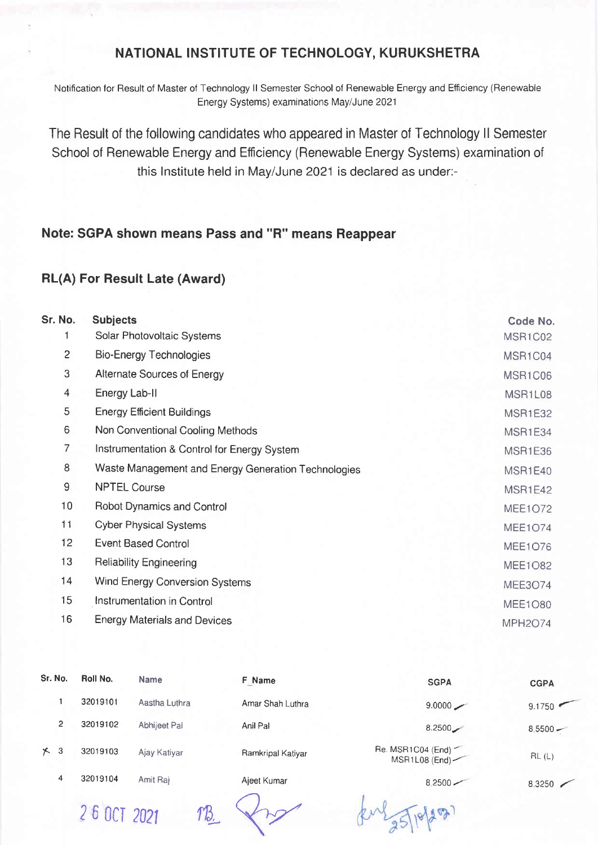## NATIONAL INSTITUTE OF TECHNOLOGY, KURUKSHETRA

Notification for Result of Master of Technology II Semester School of Renewable Energy and Efficiency (Renewable Energy Systems) examinations May/June 2021

The Result of the following candidates who appeared in Master of Technology II Semester School of Renewable Energy and Efficiency (Renewable Energy Systems) examination of this Institute held in May/June 2021 is declared as under:-

## Note: SGPA shown means Pass and "R" means Reappear

## **RL(A) For Result Late (Award)**

| Sr. No.                  | <b>Subjects</b>                                     | Code No.       |
|--------------------------|-----------------------------------------------------|----------------|
|                          | Solar Photovoltaic Systems                          | MSR1C02        |
| $\overline{c}$           | <b>Bio-Energy Technologies</b>                      | MSR1C04        |
| 3                        | Alternate Sources of Energy                         | MSR1C06        |
| $\overline{\mathcal{A}}$ | Energy Lab-II                                       | MSR1L08        |
| 5                        | <b>Energy Efficient Buildings</b>                   | <b>MSR1E32</b> |
| 6                        | Non Conventional Cooling Methods                    | MSR1E34        |
| 7                        | Instrumentation & Control for Energy System         | <b>MSR1E36</b> |
| 8                        | Waste Management and Energy Generation Technologies | MSR1E40        |
| $\overline{9}$           | <b>NPTEL Course</b>                                 | MSR1E42        |
| 10 <sub>1</sub>          | <b>Robot Dynamics and Control</b>                   | <b>MEE1O72</b> |
| 11                       | <b>Cyber Physical Systems</b>                       | <b>MEE1O74</b> |
| 12 <sub>2</sub>          | <b>Event Based Control</b>                          | <b>MEE1O76</b> |
| 13                       | <b>Reliability Engineering</b>                      | <b>MEE1O82</b> |
| 14                       | Wind Energy Conversion Systems                      | <b>MEE3O74</b> |
| 15                       | Instrumentation in Control                          | <b>MEE1O80</b> |
| 16                       | <b>Energy Materials and Devices</b>                 | <b>MPH2O74</b> |

| Sr. No.    | Roll No. | <b>Name</b>   | F Name            | <b>SGPA</b>                        | <b>CGPA</b> |
|------------|----------|---------------|-------------------|------------------------------------|-------------|
|            | 32019101 | Aastha Luthra | Amar Shah Luthra  | 9.0000                             | 9.1750      |
| 2          | 32019102 | Abhijeet Pal  | Anil Pal          | 8.2500                             | $8.5500 -$  |
| $\times$ 3 | 32019103 | Ajay Katiyar  | Ramkripal Katiyar | Re. MSR1C04 (End)<br>MSR1L08 (End) | RL(L)       |
| 4          | 32019104 | Amit Raj      | Ajeet Kumar       | $8.2500 -$                         | 8.3250      |

2 6 OCT 2021 TB

kul 35/10/2027